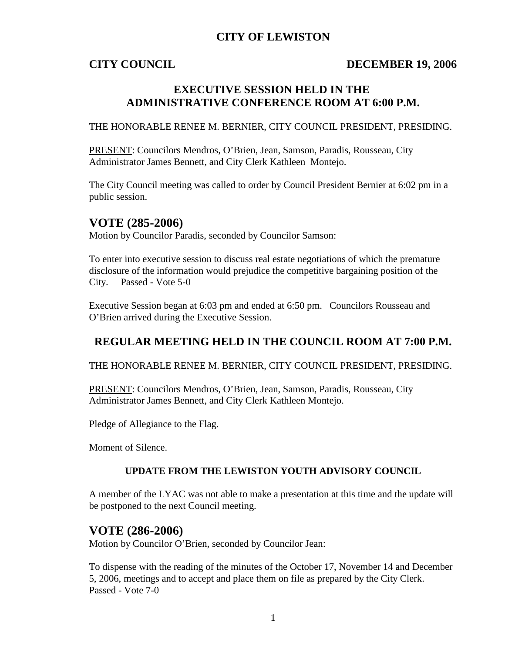## **CITY OF LEWISTON**

## **CITY COUNCIL DECEMBER 19, 2006**

# **EXECUTIVE SESSION HELD IN THE ADMINISTRATIVE CONFERENCE ROOM AT 6:00 P.M.**

THE HONORABLE RENEE M. BERNIER, CITY COUNCIL PRESIDENT, PRESIDING.

PRESENT: Councilors Mendros, O'Brien, Jean, Samson, Paradis, Rousseau, City Administrator James Bennett, and City Clerk Kathleen Montejo.

The City Council meeting was called to order by Council President Bernier at 6:02 pm in a public session.

## **VOTE (285-2006)**

Motion by Councilor Paradis, seconded by Councilor Samson:

To enter into executive session to discuss real estate negotiations of which the premature disclosure of the information would prejudice the competitive bargaining position of the City. Passed - Vote 5-0

Executive Session began at 6:03 pm and ended at 6:50 pm. Councilors Rousseau and O'Brien arrived during the Executive Session.

# **REGULAR MEETING HELD IN THE COUNCIL ROOM AT 7:00 P.M.**

THE HONORABLE RENEE M. BERNIER, CITY COUNCIL PRESIDENT, PRESIDING.

PRESENT: Councilors Mendros, O'Brien, Jean, Samson, Paradis, Rousseau, City Administrator James Bennett, and City Clerk Kathleen Montejo.

Pledge of Allegiance to the Flag.

Moment of Silence.

### **UPDATE FROM THE LEWISTON YOUTH ADVISORY COUNCIL**

A member of the LYAC was not able to make a presentation at this time and the update will be postponed to the next Council meeting.

## **VOTE (286-2006)**

Motion by Councilor O'Brien, seconded by Councilor Jean:

To dispense with the reading of the minutes of the October 17, November 14 and December 5, 2006, meetings and to accept and place them on file as prepared by the City Clerk. Passed - Vote 7-0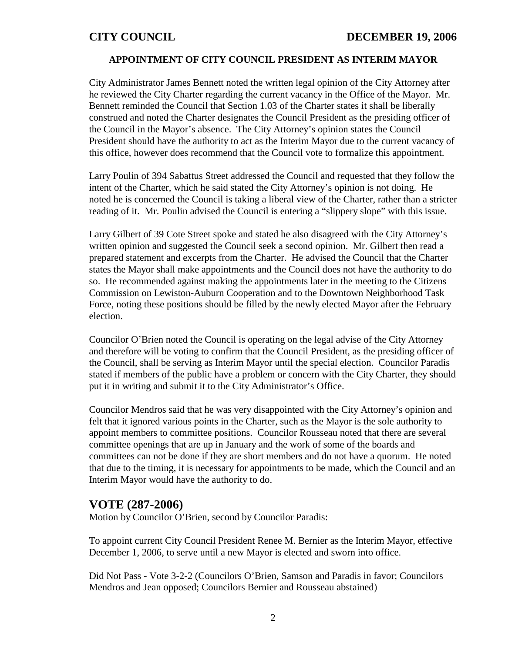### **APPOINTMENT OF CITY COUNCIL PRESIDENT AS INTERIM MAYOR**

City Administrator James Bennett noted the written legal opinion of the City Attorney after he reviewed the City Charter regarding the current vacancy in the Office of the Mayor. Mr. Bennett reminded the Council that Section 1.03 of the Charter states it shall be liberally construed and noted the Charter designates the Council President as the presiding officer of the Council in the Mayor's absence. The City Attorney's opinion states the Council President should have the authority to act as the Interim Mayor due to the current vacancy of this office, however does recommend that the Council vote to formalize this appointment.

Larry Poulin of 394 Sabattus Street addressed the Council and requested that they follow the intent of the Charter, which he said stated the City Attorney's opinion is not doing. He noted he is concerned the Council is taking a liberal view of the Charter, rather than a stricter reading of it. Mr. Poulin advised the Council is entering a "slippery slope" with this issue.

Larry Gilbert of 39 Cote Street spoke and stated he also disagreed with the City Attorney's written opinion and suggested the Council seek a second opinion. Mr. Gilbert then read a prepared statement and excerpts from the Charter. He advised the Council that the Charter states the Mayor shall make appointments and the Council does not have the authority to do so. He recommended against making the appointments later in the meeting to the Citizens Commission on Lewiston-Auburn Cooperation and to the Downtown Neighborhood Task Force, noting these positions should be filled by the newly elected Mayor after the February election.

Councilor O'Brien noted the Council is operating on the legal advise of the City Attorney and therefore will be voting to confirm that the Council President, as the presiding officer of the Council, shall be serving as Interim Mayor until the special election. Councilor Paradis stated if members of the public have a problem or concern with the City Charter, they should put it in writing and submit it to the City Administrator's Office.

Councilor Mendros said that he was very disappointed with the City Attorney's opinion and felt that it ignored various points in the Charter, such as the Mayor is the sole authority to appoint members to committee positions. Councilor Rousseau noted that there are several committee openings that are up in January and the work of some of the boards and committees can not be done if they are short members and do not have a quorum. He noted that due to the timing, it is necessary for appointments to be made, which the Council and an Interim Mayor would have the authority to do.

## **VOTE (287-2006)**

Motion by Councilor O'Brien, second by Councilor Paradis:

To appoint current City Council President Renee M. Bernier as the Interim Mayor, effective December 1, 2006, to serve until a new Mayor is elected and sworn into office.

Did Not Pass - Vote 3-2-2 (Councilors O'Brien, Samson and Paradis in favor; Councilors Mendros and Jean opposed; Councilors Bernier and Rousseau abstained)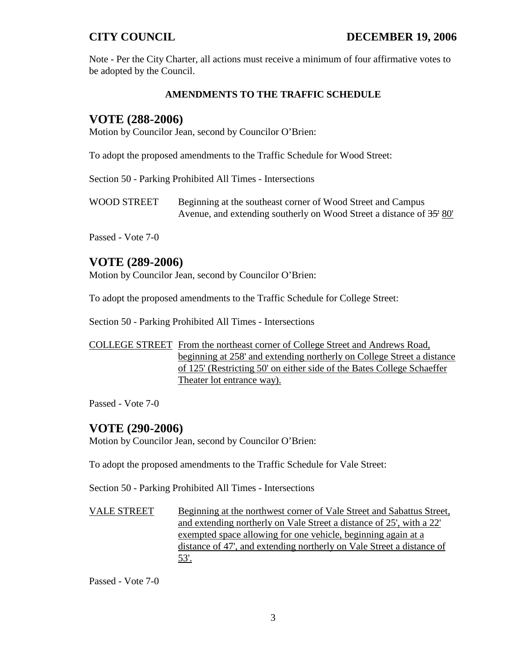Note - Per the City Charter, all actions must receive a minimum of four affirmative votes to be adopted by the Council.

### **AMENDMENTS TO THE TRAFFIC SCHEDULE**

## **VOTE (288-2006)**

Motion by Councilor Jean, second by Councilor O'Brien:

To adopt the proposed amendments to the Traffic Schedule for Wood Street:

Section 50 - Parking Prohibited All Times - Intersections

WOOD STREET Beginning at the southeast corner of Wood Street and Campus Avenue, and extending southerly on Wood Street a distance of  $35'$  80'

Passed - Vote 7-0

## **VOTE (289-2006)**

Motion by Councilor Jean, second by Councilor O'Brien:

To adopt the proposed amendments to the Traffic Schedule for College Street:

Section 50 - Parking Prohibited All Times - Intersections

### COLLEGE STREET From the northeast corner of College Street and Andrews Road, beginning at 258' and extending northerly on College Street a distance of 125' (Restricting 50' on either side of the Bates College Schaeffer Theater lot entrance way).

Passed - Vote 7-0

## **VOTE (290-2006)**

Motion by Councilor Jean, second by Councilor O'Brien:

To adopt the proposed amendments to the Traffic Schedule for Vale Street:

Section 50 - Parking Prohibited All Times - Intersections

VALE STREET Beginning at the northwest corner of Vale Street and Sabattus Street, and extending northerly on Vale Street a distance of 25', with a 22' exempted space allowing for one vehicle, beginning again at a distance of 47', and extending northerly on Vale Street a distance of 53'.

Passed - Vote 7-0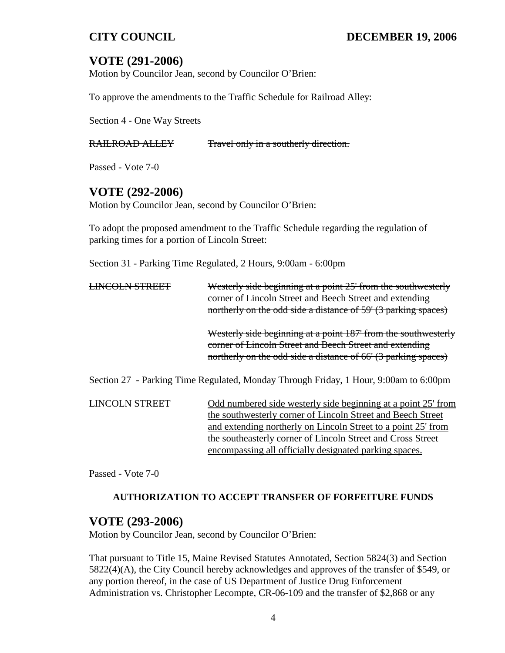# **VOTE (291-2006)**

Motion by Councilor Jean, second by Councilor O'Brien:

To approve the amendments to the Traffic Schedule for Railroad Alley:

Section 4 - One Way Streets

RAILROAD ALLEY Travel only in a southerly direction.

Passed - Vote 7-0

# **VOTE (292-2006)**

Motion by Councilor Jean, second by Councilor O'Brien:

To adopt the proposed amendment to the Traffic Schedule regarding the regulation of parking times for a portion of Lincoln Street:

Section 31 - Parking Time Regulated, 2 Hours, 9:00am - 6:00pm

|  | Westerly side beginning at a point 25' from the southwesterly<br>corner of Lincoln Street and Beech Street and extending<br>northerly on the odd side a distance of 59' (3 parking spaces)  |
|--|---------------------------------------------------------------------------------------------------------------------------------------------------------------------------------------------|
|  | Westerly side beginning at a point 187' from the southwesterly<br>corner of Lincoln Street and Beech Street and extending<br>northerly on the odd side a distance of 66' (3 parking spaces) |
|  | Section 27 - Parking Time Regulated, Monday Through Friday, 1 Hour, 9:00am to 6:00pm                                                                                                        |

| <b>LINCOLN STREET</b> | Odd numbered side westerly side beginning at a point 25' from |
|-----------------------|---------------------------------------------------------------|
|                       | the southwesterly corner of Lincoln Street and Beech Street   |
|                       | and extending northerly on Lincoln Street to a point 25' from |
|                       | the southeasterly corner of Lincoln Street and Cross Street   |
|                       | encompassing all officially designated parking spaces.        |

Passed - Vote 7-0

## **AUTHORIZATION TO ACCEPT TRANSFER OF FORFEITURE FUNDS**

## **VOTE (293-2006)**

Motion by Councilor Jean, second by Councilor O'Brien:

That pursuant to Title 15, Maine Revised Statutes Annotated, Section 5824(3) and Section 5822(4)(A), the City Council hereby acknowledges and approves of the transfer of \$549, or any portion thereof, in the case of US Department of Justice Drug Enforcement Administration vs. Christopher Lecompte, CR-06-109 and the transfer of \$2,868 or any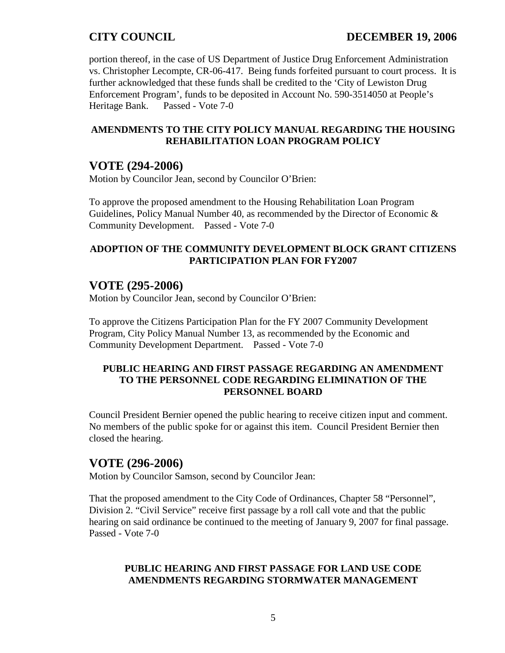portion thereof, in the case of US Department of Justice Drug Enforcement Administration vs. Christopher Lecompte, CR-06-417. Being funds forfeited pursuant to court process. It is further acknowledged that these funds shall be credited to the 'City of Lewiston Drug Enforcement Program', funds to be deposited in Account No. 590-3514050 at People's Heritage Bank. Passed - Vote 7-0

### **AMENDMENTS TO THE CITY POLICY MANUAL REGARDING THE HOUSING REHABILITATION LOAN PROGRAM POLICY**

## **VOTE (294-2006)**

Motion by Councilor Jean, second by Councilor O'Brien:

To approve the proposed amendment to the Housing Rehabilitation Loan Program Guidelines, Policy Manual Number 40, as recommended by the Director of Economic & Community Development. Passed - Vote 7-0

## **ADOPTION OF THE COMMUNITY DEVELOPMENT BLOCK GRANT CITIZENS PARTICIPATION PLAN FOR FY2007**

# **VOTE (295-2006)**

Motion by Councilor Jean, second by Councilor O'Brien:

To approve the Citizens Participation Plan for the FY 2007 Community Development Program, City Policy Manual Number 13, as recommended by the Economic and Community Development Department. Passed - Vote 7-0

### **PUBLIC HEARING AND FIRST PASSAGE REGARDING AN AMENDMENT TO THE PERSONNEL CODE REGARDING ELIMINATION OF THE PERSONNEL BOARD**

Council President Bernier opened the public hearing to receive citizen input and comment. No members of the public spoke for or against this item. Council President Bernier then closed the hearing.

# **VOTE (296-2006)**

Motion by Councilor Samson, second by Councilor Jean:

That the proposed amendment to the City Code of Ordinances, Chapter 58 "Personnel", Division 2. "Civil Service" receive first passage by a roll call vote and that the public hearing on said ordinance be continued to the meeting of January 9, 2007 for final passage. Passed - Vote 7-0

### **PUBLIC HEARING AND FIRST PASSAGE FOR LAND USE CODE AMENDMENTS REGARDING STORMWATER MANAGEMENT**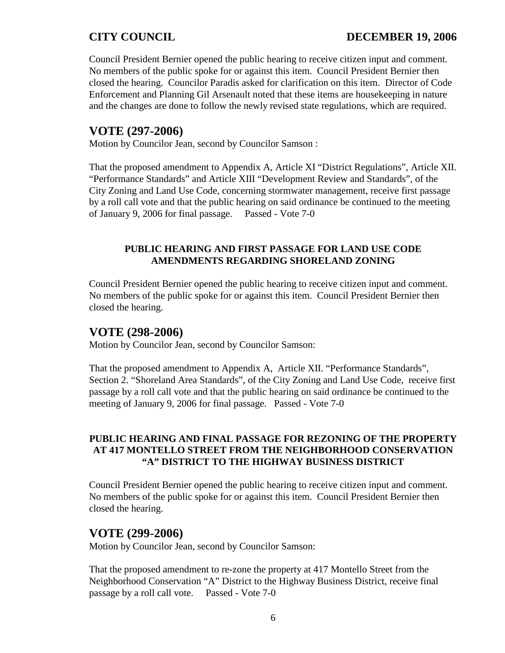Council President Bernier opened the public hearing to receive citizen input and comment. No members of the public spoke for or against this item. Council President Bernier then closed the hearing. Councilor Paradis asked for clarification on this item. Director of Code Enforcement and Planning Gil Arsenault noted that these items are housekeeping in nature and the changes are done to follow the newly revised state regulations, which are required.

# **VOTE (297-2006)**

Motion by Councilor Jean, second by Councilor Samson :

That the proposed amendment to Appendix A, Article XI "District Regulations", Article XII. "Performance Standards" and Article XIII "Development Review and Standards", of the City Zoning and Land Use Code, concerning stormwater management, receive first passage by a roll call vote and that the public hearing on said ordinance be continued to the meeting of January 9, 2006 for final passage. Passed - Vote 7-0

### **PUBLIC HEARING AND FIRST PASSAGE FOR LAND USE CODE AMENDMENTS REGARDING SHORELAND ZONING**

Council President Bernier opened the public hearing to receive citizen input and comment. No members of the public spoke for or against this item. Council President Bernier then closed the hearing.

## **VOTE (298-2006)**

Motion by Councilor Jean, second by Councilor Samson:

That the proposed amendment to Appendix A, Article XII. "Performance Standards", Section 2. "Shoreland Area Standards", of the City Zoning and Land Use Code, receive first passage by a roll call vote and that the public hearing on said ordinance be continued to the meeting of January 9, 2006 for final passage. Passed - Vote 7-0

### **PUBLIC HEARING AND FINAL PASSAGE FOR REZONING OF THE PROPERTY AT 417 MONTELLO STREET FROM THE NEIGHBORHOOD CONSERVATION "A" DISTRICT TO THE HIGHWAY BUSINESS DISTRICT**

Council President Bernier opened the public hearing to receive citizen input and comment. No members of the public spoke for or against this item. Council President Bernier then closed the hearing.

## **VOTE (299-2006)**

Motion by Councilor Jean, second by Councilor Samson:

That the proposed amendment to re-zone the property at 417 Montello Street from the Neighborhood Conservation "A" District to the Highway Business District, receive final passage by a roll call vote. Passed - Vote 7-0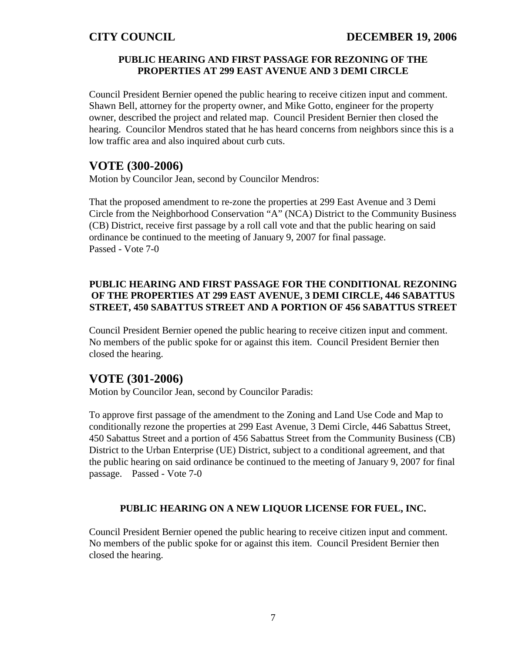### **PUBLIC HEARING AND FIRST PASSAGE FOR REZONING OF THE PROPERTIES AT 299 EAST AVENUE AND 3 DEMI CIRCLE**

Council President Bernier opened the public hearing to receive citizen input and comment. Shawn Bell, attorney for the property owner, and Mike Gotto, engineer for the property owner, described the project and related map. Council President Bernier then closed the hearing. Councilor Mendros stated that he has heard concerns from neighbors since this is a low traffic area and also inquired about curb cuts.

## **VOTE (300-2006)**

Motion by Councilor Jean, second by Councilor Mendros:

That the proposed amendment to re-zone the properties at 299 East Avenue and 3 Demi Circle from the Neighborhood Conservation "A" (NCA) District to the Community Business (CB) District, receive first passage by a roll call vote and that the public hearing on said ordinance be continued to the meeting of January 9, 2007 for final passage. Passed - Vote 7-0

### **PUBLIC HEARING AND FIRST PASSAGE FOR THE CONDITIONAL REZONING OF THE PROPERTIES AT 299 EAST AVENUE, 3 DEMI CIRCLE, 446 SABATTUS STREET, 450 SABATTUS STREET AND A PORTION OF 456 SABATTUS STREET**

Council President Bernier opened the public hearing to receive citizen input and comment. No members of the public spoke for or against this item. Council President Bernier then closed the hearing.

# **VOTE (301-2006)**

Motion by Councilor Jean, second by Councilor Paradis:

To approve first passage of the amendment to the Zoning and Land Use Code and Map to conditionally rezone the properties at 299 East Avenue, 3 Demi Circle, 446 Sabattus Street, 450 Sabattus Street and a portion of 456 Sabattus Street from the Community Business (CB) District to the Urban Enterprise (UE) District, subject to a conditional agreement, and that the public hearing on said ordinance be continued to the meeting of January 9, 2007 for final passage. Passed - Vote 7-0

### **PUBLIC HEARING ON A NEW LIQUOR LICENSE FOR FUEL, INC.**

Council President Bernier opened the public hearing to receive citizen input and comment. No members of the public spoke for or against this item. Council President Bernier then closed the hearing.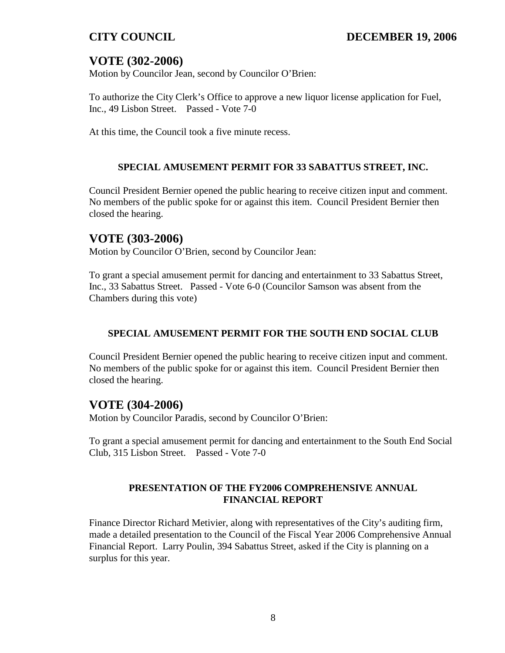# **VOTE (302-2006)**

Motion by Councilor Jean, second by Councilor O'Brien:

To authorize the City Clerk's Office to approve a new liquor license application for Fuel, Inc., 49 Lisbon Street. Passed - Vote 7-0

At this time, the Council took a five minute recess.

### **SPECIAL AMUSEMENT PERMIT FOR 33 SABATTUS STREET, INC.**

Council President Bernier opened the public hearing to receive citizen input and comment. No members of the public spoke for or against this item. Council President Bernier then closed the hearing.

## **VOTE (303-2006)**

Motion by Councilor O'Brien, second by Councilor Jean:

To grant a special amusement permit for dancing and entertainment to 33 Sabattus Street, Inc., 33 Sabattus Street. Passed - Vote 6-0 (Councilor Samson was absent from the Chambers during this vote)

## **SPECIAL AMUSEMENT PERMIT FOR THE SOUTH END SOCIAL CLUB**

Council President Bernier opened the public hearing to receive citizen input and comment. No members of the public spoke for or against this item. Council President Bernier then closed the hearing.

## **VOTE (304-2006)**

Motion by Councilor Paradis, second by Councilor O'Brien:

To grant a special amusement permit for dancing and entertainment to the South End Social Club, 315 Lisbon Street. Passed - Vote 7-0

### **PRESENTATION OF THE FY2006 COMPREHENSIVE ANNUAL FINANCIAL REPORT**

Finance Director Richard Metivier, along with representatives of the City's auditing firm, made a detailed presentation to the Council of the Fiscal Year 2006 Comprehensive Annual Financial Report. Larry Poulin, 394 Sabattus Street, asked if the City is planning on a surplus for this year.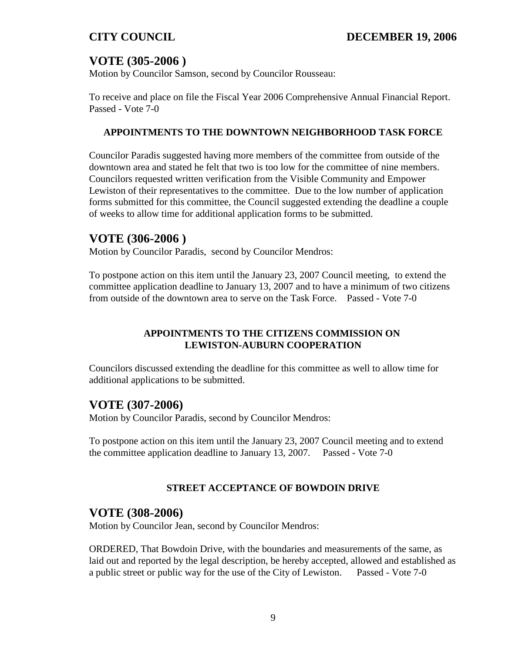# **VOTE (305-2006 )**

Motion by Councilor Samson, second by Councilor Rousseau:

To receive and place on file the Fiscal Year 2006 Comprehensive Annual Financial Report. Passed - Vote 7-0

### **APPOINTMENTS TO THE DOWNTOWN NEIGHBORHOOD TASK FORCE**

Councilor Paradis suggested having more members of the committee from outside of the downtown area and stated he felt that two is too low for the committee of nine members. Councilors requested written verification from the Visible Community and Empower Lewiston of their representatives to the committee. Due to the low number of application forms submitted for this committee, the Council suggested extending the deadline a couple of weeks to allow time for additional application forms to be submitted.

# **VOTE (306-2006 )**

Motion by Councilor Paradis, second by Councilor Mendros:

To postpone action on this item until the January 23, 2007 Council meeting, to extend the committee application deadline to January 13, 2007 and to have a minimum of two citizens from outside of the downtown area to serve on the Task Force. Passed - Vote 7-0

## **APPOINTMENTS TO THE CITIZENS COMMISSION ON LEWISTON-AUBURN COOPERATION**

Councilors discussed extending the deadline for this committee as well to allow time for additional applications to be submitted.

## **VOTE (307-2006)**

Motion by Councilor Paradis, second by Councilor Mendros:

To postpone action on this item until the January 23, 2007 Council meeting and to extend the committee application deadline to January 13, 2007. Passed - Vote 7-0

### **STREET ACCEPTANCE OF BOWDOIN DRIVE**

## **VOTE (308-2006)**

Motion by Councilor Jean, second by Councilor Mendros:

ORDERED, That Bowdoin Drive, with the boundaries and measurements of the same, as laid out and reported by the legal description, be hereby accepted, allowed and established as a public street or public way for the use of the City of Lewiston. Passed - Vote 7-0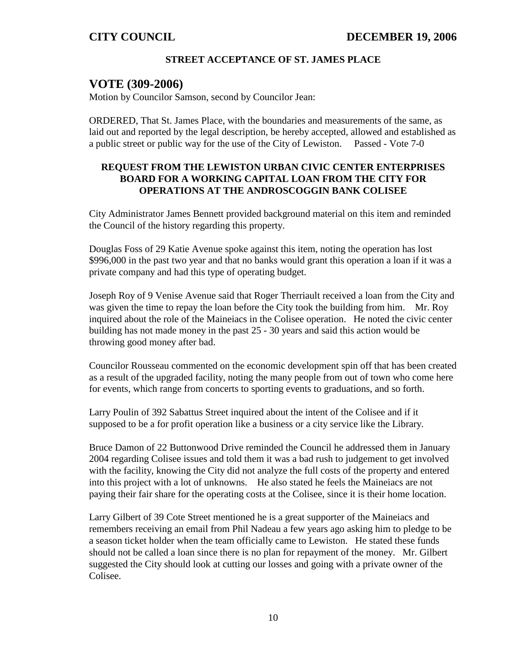### **STREET ACCEPTANCE OF ST. JAMES PLACE**

## **VOTE (309-2006)**

Motion by Councilor Samson, second by Councilor Jean:

ORDERED, That St. James Place, with the boundaries and measurements of the same, as laid out and reported by the legal description, be hereby accepted, allowed and established as a public street or public way for the use of the City of Lewiston. Passed - Vote 7-0

### **REQUEST FROM THE LEWISTON URBAN CIVIC CENTER ENTERPRISES BOARD FOR A WORKING CAPITAL LOAN FROM THE CITY FOR OPERATIONS AT THE ANDROSCOGGIN BANK COLISEE**

City Administrator James Bennett provided background material on this item and reminded the Council of the history regarding this property.

Douglas Foss of 29 Katie Avenue spoke against this item, noting the operation has lost \$996,000 in the past two year and that no banks would grant this operation a loan if it was a private company and had this type of operating budget.

Joseph Roy of 9 Venise Avenue said that Roger Therriault received a loan from the City and was given the time to repay the loan before the City took the building from him. Mr. Roy inquired about the role of the Maineiacs in the Colisee operation. He noted the civic center building has not made money in the past 25 - 30 years and said this action would be throwing good money after bad.

Councilor Rousseau commented on the economic development spin off that has been created as a result of the upgraded facility, noting the many people from out of town who come here for events, which range from concerts to sporting events to graduations, and so forth.

Larry Poulin of 392 Sabattus Street inquired about the intent of the Colisee and if it supposed to be a for profit operation like a business or a city service like the Library.

Bruce Damon of 22 Buttonwood Drive reminded the Council he addressed them in January 2004 regarding Colisee issues and told them it was a bad rush to judgement to get involved with the facility, knowing the City did not analyze the full costs of the property and entered into this project with a lot of unknowns. He also stated he feels the Maineiacs are not paying their fair share for the operating costs at the Colisee, since it is their home location.

Larry Gilbert of 39 Cote Street mentioned he is a great supporter of the Maineiacs and remembers receiving an email from Phil Nadeau a few years ago asking him to pledge to be a season ticket holder when the team officially came to Lewiston. He stated these funds should not be called a loan since there is no plan for repayment of the money. Mr. Gilbert suggested the City should look at cutting our losses and going with a private owner of the Colisee.